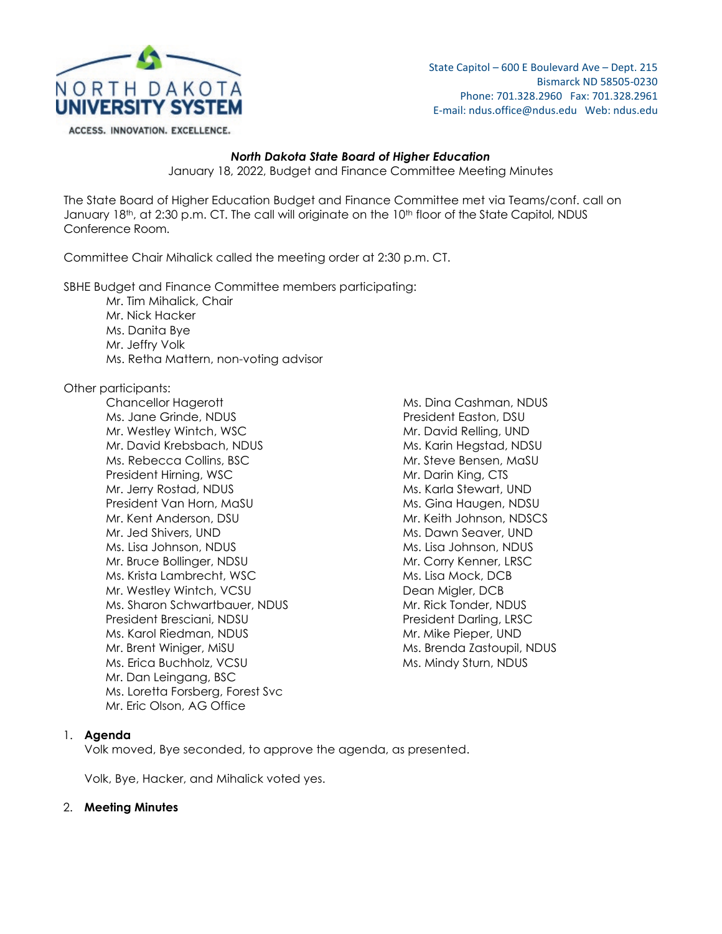

State Capitol – 600 E Boulevard Ave – Dept. 215 Bismarck ND 58505-0230 Phone: 701.328.2960 Fax: 701.328.2961 E-mail: ndus.office@ndus.edu Web: ndus.edu

#### ACCESS. INNOVATION. EXCELLENCE.

#### *North Dakota State Board of Higher Education*

January 18, 2022, Budget and Finance Committee Meeting Minutes

The State Board of Higher Education Budget and Finance Committee met via Teams/conf. call on January 18<sup>th</sup>, at 2:30 p.m. CT. The call will originate on the 10<sup>th</sup> floor of the State Capitol, NDUS Conference Room.

Committee Chair Mihalick called the meeting order at 2:30 p.m. CT.

SBHE Budget and Finance Committee members participating:

Mr. Tim Mihalick, Chair Mr. Nick Hacker Ms. Danita Bye Mr. Jeffry Volk Ms. Retha Mattern, non-voting advisor

# Other participants:

Chancellor Hagerott **Ms. Dina Cashman, NDUS** Ms. Jane Grinde, NDUS President Easton, DSU Mr. Westley Wintch, WSC Mr. David Relling, UND Mr. David Krebsbach, NDUS Ms. Karin Hegstad, NDSU Ms. Rebecca Collins, BSC Mr. Steve Bensen, MaSU President Hirning, WSC Mr. Darin King, CTS Mr. Jerry Rostad, NDUS Ms. Karla Stewart, UND President Van Horn, MaSU Manuel Ms. Gina Haugen, NDSU Mr. Kent Anderson, DSU Mr. Keith Johnson, NDSCS Mr. Jed Shivers, UND Ms. Dawn Seaver, UND Ms. Lisa Johnson, NDUS Ms. Lisa Johnson, NDUS Mr. Bruce Bollinger, NDSU Mr. Corry Kenner, LRSC Ms. Krista Lambrecht, WSC Ms. Lisa Mock, DCB Mr. Westley Wintch, VCSU No. 2008 2014 12:30 Dean Migler, DCB Ms. Sharon Schwartbauer, NDUS Mr. Rick Tonder, NDUS President Bresciani, NDSU et al. et al. et al. et al. et al. et al. et al. et al. et al. et al. et al. et al. Ms. Karol Riedman, NDUS Manuel Mr. Mike Pieper, UND Mr. Brent Winiger, MiSU Ms. Brenda Zastoupil, NDUS Ms. Erica Buchholz, VCSU Ms. Mindy Sturn, NDUS Mr. Dan Leingang, BSC Ms. Loretta Forsberg, Forest Svc Mr. Eric Olson, AG Office

# 1. **Agenda**

Volk moved, Bye seconded, to approve the agenda, as presented.

Volk, Bye, Hacker, and Mihalick voted yes.

# 2. **Meeting Minutes**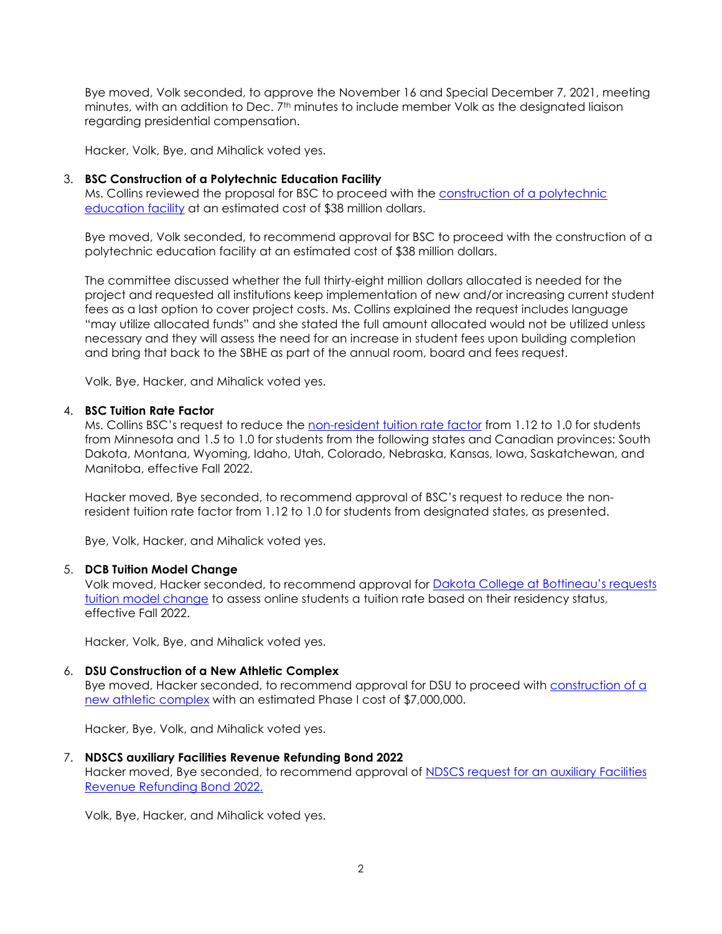Bye moved, Volk seconded, to approve the November 16 and Special December 7, 2021, meeting minutes, with an addition to Dec. 7th minutes to include member Volk as the designated liaison regarding presidential compensation.

Hacker, Volk, Bye, and Mihalick voted yes.

### 3. **BSC Construction of a Polytechnic Education Facility**

Ms. Collins reviewed the proposal for BSC to proceed with the construction of a polytechnic [education facility](https://ndusbpos.sharepoint.com/:b:/s/NDUSSBHE/EfbfhGeVuyBEsPEfkVBlWjABRZRdL6vLBpw-WT_qIwf4nA?e=fmLJgK) at an estimated cost of \$38 million dollars.

Bye moved, Volk seconded, to recommend approval for BSC to proceed with the construction of a polytechnic education facility at an estimated cost of \$38 million dollars.

The committee discussed whether the full thirty-eight million dollars allocated is needed for the project and requested all institutions keep implementation of new and/or increasing current student fees as a last option to cover project costs. Ms. Collins explained the request includes language "may utilize allocated funds" and she stated the full amount allocated would not be utilized unless necessary and they will assess the need for an increase in student fees upon building completion and bring that back to the SBHE as part of the annual room, board and fees request.

Volk, Bye, Hacker, and Mihalick voted yes.

## 4. **BSC Tuition Rate Factor**

Ms. Collins BSC's request to reduce the [non-resident tuition rate factor](https://ndusbpos.sharepoint.com/:b:/s/NDUSSBHE/EcaQqFc_NNBIlf6g3G8U7SQBnFu-WPquARMM-vYWw0yLZg?e=fiTTxk) from 1.12 to 1.0 for students from Minnesota and 1.5 to 1.0 for students from the following states and Canadian provinces: South Dakota, Montana, Wyoming, Idaho, Utah, Colorado, Nebraska, Kansas, Iowa, Saskatchewan, and Manitoba, effective Fall 2022.

Hacker moved, Bye seconded, to recommend approval of BSC's request to reduce the nonresident tuition rate factor from 1.12 to 1.0 for students from designated states, as presented.

Bye, Volk, Hacker, and Mihalick voted yes.

#### 5. **DCB Tuition Model Change**

Volk moved, Hacker seconded, to recommend approval for [Dakota College at Bottineau's requests](https://ndusbpos.sharepoint.com/:b:/s/NDUSSBHE/EfH0A5i3buZFnozcB59j3DgB92r4AUxmTo1QTMx1SPv5-A?e=9vswfk)  [tuition model change](https://ndusbpos.sharepoint.com/:b:/s/NDUSSBHE/EfH0A5i3buZFnozcB59j3DgB92r4AUxmTo1QTMx1SPv5-A?e=9vswfk) to assess online students a tuition rate based on their residency status, effective Fall 2022.

Hacker, Volk, Bye, and Mihalick voted yes.

# 6. **DSU Construction of a New Athletic Complex**

Bye moved, Hacker seconded, to recommend approval for DSU to proceed with **construction of a** [new athletic complex](https://ndusbpos.sharepoint.com/:b:/s/NDUSSBHE/EeMGSNGVw4NGjQbpwOEPZM8BEC7LHsmlBVio_jguhTdOaA?e=SUURzg) with an estimated Phase I cost of \$7,000,000.

Hacker, Bye, Volk, and Mihalick voted yes.

# 7. **NDSCS auxiliary Facilities Revenue Refunding Bond 2022**

Hacker moved, Bye seconded, to recommend approval of **NDSCS request for an auxiliary Facilities** [Revenue Refunding Bond 2022.](https://ndusbpos.sharepoint.com/:b:/s/NDUSSBHE/EQ4jB8JUFDpHjlerbJmDEh8B1OjDtxALfvPOZYEosUn4hQ?e=Ew9tbt)

Volk, Bye, Hacker, and Mihalick voted yes.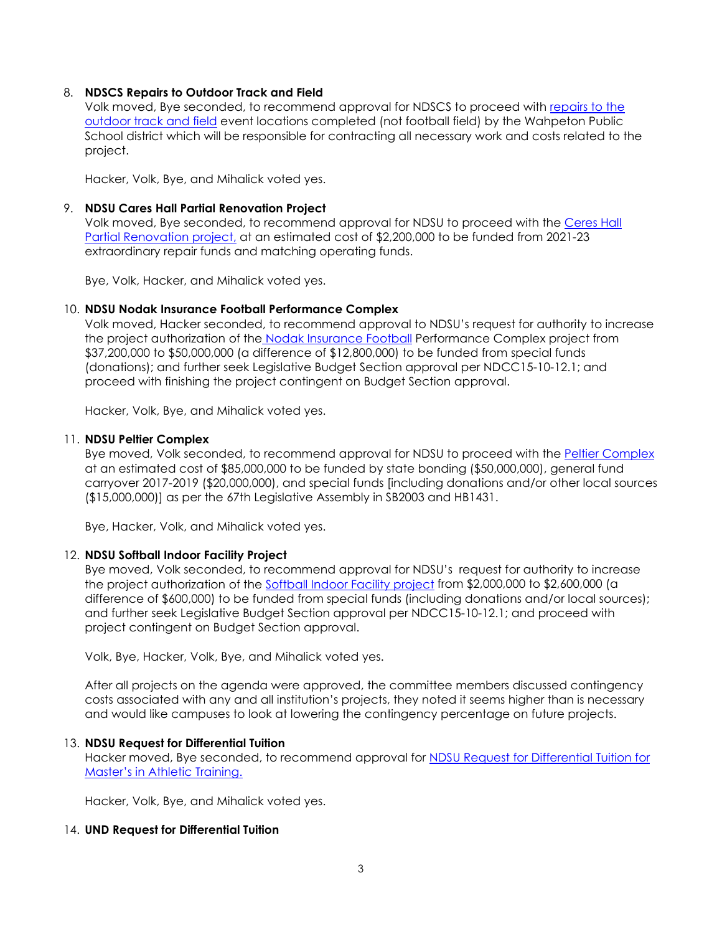# 8. **NDSCS Repairs to Outdoor Track and Field**

Volk moved, Bye seconded, to recommend approval for NDSCS to proceed with [repairs to the](https://ndusbpos.sharepoint.com/:b:/s/NDUSSBHE/ES0BMMCOCstAm6F5wFE7EiIBsVqVjIzPDAo5Pe-9dgwrYQ?e=I2qZUH)  [outdoor track and field](https://ndusbpos.sharepoint.com/:b:/s/NDUSSBHE/ES0BMMCOCstAm6F5wFE7EiIBsVqVjIzPDAo5Pe-9dgwrYQ?e=I2qZUH) event locations completed (not football field) by the Wahpeton Public School district which will be responsible for contracting all necessary work and costs related to the project.

Hacker, Volk, Bye, and Mihalick voted yes.

#### 9. **NDSU Cares Hall Partial Renovation Project**

Volk moved, Bye seconded, to recommend approval for NDSU to proceed with the [Ceres Hall](https://ndusbpos.sharepoint.com/:b:/s/NDUSSBHE/EZb1n7klaVpCs8GjjCM9gmwB3YUQUM9111efoFXZKmqWBQ?e=9WwzwH)  [Partial Renovation project,](https://ndusbpos.sharepoint.com/:b:/s/NDUSSBHE/EZb1n7klaVpCs8GjjCM9gmwB3YUQUM9111efoFXZKmqWBQ?e=9WwzwH) at an estimated cost of \$2,200,000 to be funded from 2021-23 extraordinary repair funds and matching operating funds.

Bye, Volk, Hacker, and Mihalick voted yes.

#### 10. **NDSU Nodak Insurance Football Performance Complex**

Volk moved, Hacker seconded, to recommend approval to NDSU's request for authority to increase the project authorization of the [Nodak Insurance Football](https://ndusbpos.sharepoint.com/:b:/s/NDUSSBHE/ES1Mw_8b199Kjpb5wl3znGsBuwPwmihBnMKykigxjdQqXw?e=pNAfuY) Performance Complex project from \$37,200,000 to \$50,000,000 (a difference of \$12,800,000) to be funded from special funds (donations); and further seek Legislative Budget Section approval per NDCC15-10-12.1; and proceed with finishing the project contingent on Budget Section approval.

Hacker, Volk, Bye, and Mihalick voted yes.

#### 11. **NDSU Peltier Complex**

Bye moved, Volk seconded, to recommend approval for NDSU to proceed with the [Peltier Complex](https://ndusbpos.sharepoint.com/:b:/s/NDUSSBHE/EaZV_afPgU1IqINMZwZhRZoB22HsOV1qp4qxFhb59mla9Q?e=lE33wm) at an estimated cost of \$85,000,000 to be funded by state bonding (\$50,000,000), general fund carryover 2017-2019 (\$20,000,000), and special funds [including donations and/or other local sources (\$15,000,000)] as per the 67th Legislative Assembly in SB2003 and HB1431.

Bye, Hacker, Volk, and Mihalick voted yes.

#### 12. **NDSU Softball Indoor Facility Project**

Bye moved, Volk seconded, to recommend approval for NDSU's request for authority to increase the project authorization of the [Softball Indoor Facility project](https://ndusbpos.sharepoint.com/:b:/s/NDUSSBHE/EWqO5_AG5JpEhd7pMG85QscBdIrgi6QNJC-LguiA6ZXGIA?e=somgMI) from \$2,000,000 to \$2,600,000 (a difference of \$600,000) to be funded from special funds (including donations and/or local sources); and further seek Legislative Budget Section approval per NDCC15-10-12.1; and proceed with project contingent on Budget Section approval.

Volk, Bye, Hacker, Volk, Bye, and Mihalick voted yes.

After all projects on the agenda were approved, the committee members discussed contingency costs associated with any and all institution's projects, they noted it seems higher than is necessary and would like campuses to look at lowering the contingency percentage on future projects.

### 13. **NDSU Request for Differential Tuition**

Hacker moved, Bye seconded, to recommend approval for [NDSU Request for Differential Tuition for](https://ndusbpos.sharepoint.com/:b:/s/NDUSSBHE/EdBjWH5utyxAsYRoWLDOCTIB-6iqVvE3WieUbOcqRZ0EDQ?e=e5mdFb)  [Master's in Athletic Training.](https://ndusbpos.sharepoint.com/:b:/s/NDUSSBHE/EdBjWH5utyxAsYRoWLDOCTIB-6iqVvE3WieUbOcqRZ0EDQ?e=e5mdFb)

Hacker, Volk, Bye, and Mihalick voted yes.

### 14. **UND Request for Differential Tuition**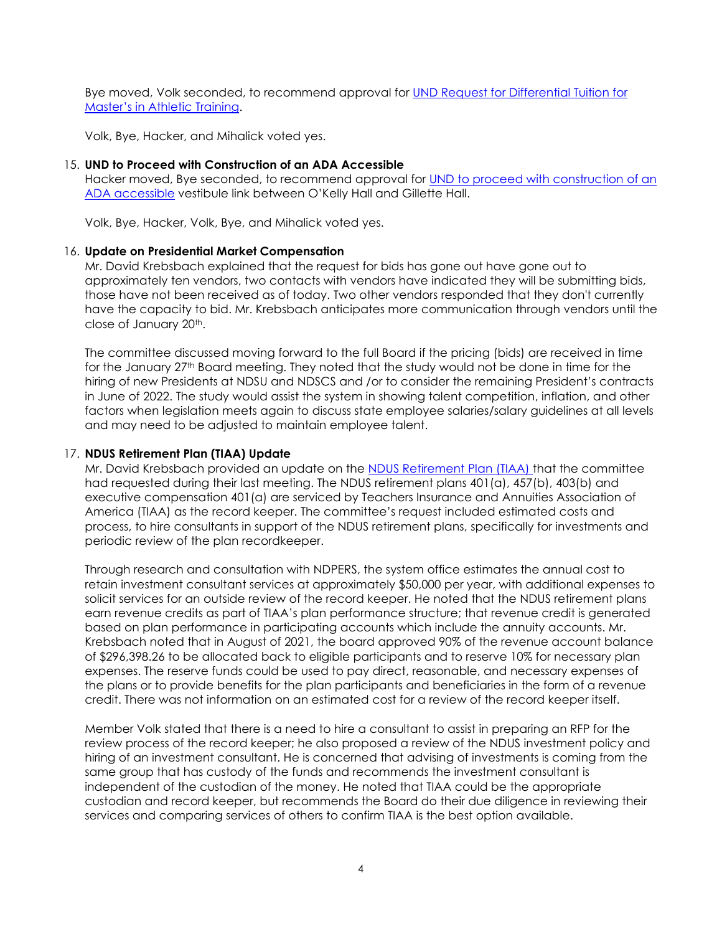Bye moved, Volk seconded, to recommend approval for [UND Request for Differential Tuition for](https://ndusbpos.sharepoint.com/:b:/s/NDUSSBHE/EdvFJ-neUflHsxmuKD2n6OsBGhPewbKU5KPE5HVS98rKsA?e=LAbNxp)  [Master's in Athletic Training.](https://ndusbpos.sharepoint.com/:b:/s/NDUSSBHE/EdvFJ-neUflHsxmuKD2n6OsBGhPewbKU5KPE5HVS98rKsA?e=LAbNxp)

Volk, Bye, Hacker, and Mihalick voted yes.

## 15. **UND to Proceed with Construction of an ADA Accessible**

Hacker moved, Bye seconded, to recommend approval for UND to proceed with construction of an [ADA accessible](https://ndusbpos.sharepoint.com/:b:/s/NDUSSBHE/ERSBlupclMlCnhOZItSau_oBAZbhMwG7ijM4JAWXnqr2jg?e=HCr64a) vestibule link between O'Kelly Hall and Gillette Hall.

Volk, Bye, Hacker, Volk, Bye, and Mihalick voted yes.

## 16. **Update on Presidential Market Compensation**

Mr. David Krebsbach explained that the request for bids has gone out have gone out to approximately ten vendors, two contacts with vendors have indicated they will be submitting bids, those have not been received as of today. Two other vendors responded that they don't currently have the capacity to bid. Mr. Krebsbach anticipates more communication through vendors until the close of January 20th.

The committee discussed moving forward to the full Board if the pricing (bids) are received in time for the January 27th Board meeting. They noted that the study would not be done in time for the hiring of new Presidents at NDSU and NDSCS and /or to consider the remaining President's contracts in June of 2022. The study would assist the system in showing talent competition, inflation, and other factors when legislation meets again to discuss state employee salaries/salary guidelines at all levels and may need to be adjusted to maintain employee talent.

## 17. **NDUS Retirement Plan (TIAA) Update**

Mr. David Krebsbach provided an update on the [NDUS Retirement Plan \(TIAA\) t](https://ndusbpos.sharepoint.com/:b:/s/NDUSSBHE/EU-c26ekCSdCoMLNlLTeefwBcmpQ9yBVlP8YO4aOmPIFhw?e=kxnPtM)hat the committee had requested during their last meeting. The NDUS retirement plans 401(a), 457(b), 403(b) and executive compensation 401(a) are serviced by Teachers Insurance and Annuities Association of America (TIAA) as the record keeper. The committee's request included estimated costs and process, to hire consultants in support of the NDUS retirement plans, specifically for investments and periodic review of the plan recordkeeper.

Through research and consultation with NDPERS, the system office estimates the annual cost to retain investment consultant services at approximately \$50,000 per year, with additional expenses to solicit services for an outside review of the record keeper. He noted that the NDUS retirement plans earn revenue credits as part of TIAA's plan performance structure; that revenue credit is generated based on plan performance in participating accounts which include the annuity accounts. Mr. Krebsbach noted that in August of 2021, the board approved 90% of the revenue account balance of \$296,398.26 to be allocated back to eligible participants and to reserve 10% for necessary plan expenses. The reserve funds could be used to pay direct, reasonable, and necessary expenses of the plans or to provide benefits for the plan participants and beneficiaries in the form of a revenue credit. There was not information on an estimated cost for a review of the record keeper itself.

Member Volk stated that there is a need to hire a consultant to assist in preparing an RFP for the review process of the record keeper; he also proposed a review of the NDUS investment policy and hiring of an investment consultant. He is concerned that advising of investments is coming from the same group that has custody of the funds and recommends the investment consultant is independent of the custodian of the money. He noted that TIAA could be the appropriate custodian and record keeper, but recommends the Board do their due diligence in reviewing their services and comparing services of others to confirm TIAA is the best option available.